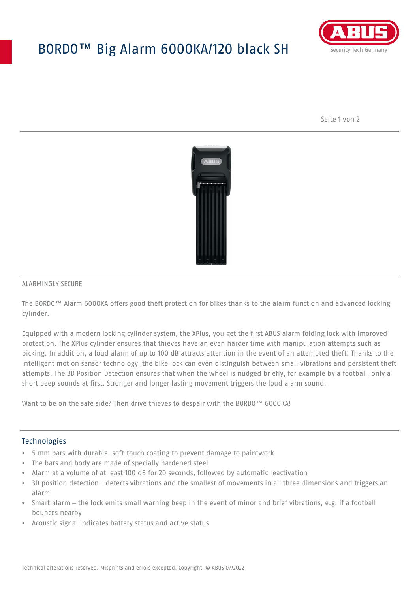# BORDO™ Big Alarm 6000KA/120 black SH



Seite 1 von 2



#### ALARMINGLY SECURE

The BORDO™ Alarm 6000KA offers good theft protection for bikes thanks to the alarm function and advanced locking cylinder.

Equipped with a modern locking cylinder system, the XPlus, you get the first ABUS alarm folding lock with imoroved protection. The XPlus cylinder ensures that thieves have an even harder time with manipulation attempts such as picking. In addition, a loud alarm of up to 100 dB attracts attention in the event of an attempted theft. Thanks to the intelligent motion sensor technology, the bike lock can even distinguish between small vibrations and persistent theft attempts. The 3D Position Detection ensures that when the wheel is nudged briefly, for example by a football, only a short beep sounds at first. Stronger and longer lasting movement triggers the loud alarm sound.

Want to be on the safe side? Then drive thieves to despair with the BORDO™ 6000KA!

### Technologies

- 5 mm bars with durable, soft-touch coating to prevent damage to paintwork
- The bars and body are made of specially hardened steel
- Alarm at a volume of at least 100 dB for 20 seconds, followed by automatic reactivation
- 3D position detection detects vibrations and the smallest of movements in all three dimensions and triggers an alarm
- Smart alarm the lock emits small warning beep in the event of minor and brief vibrations, e.g. if a football bounces nearby
- Acoustic signal indicates battery status and active status